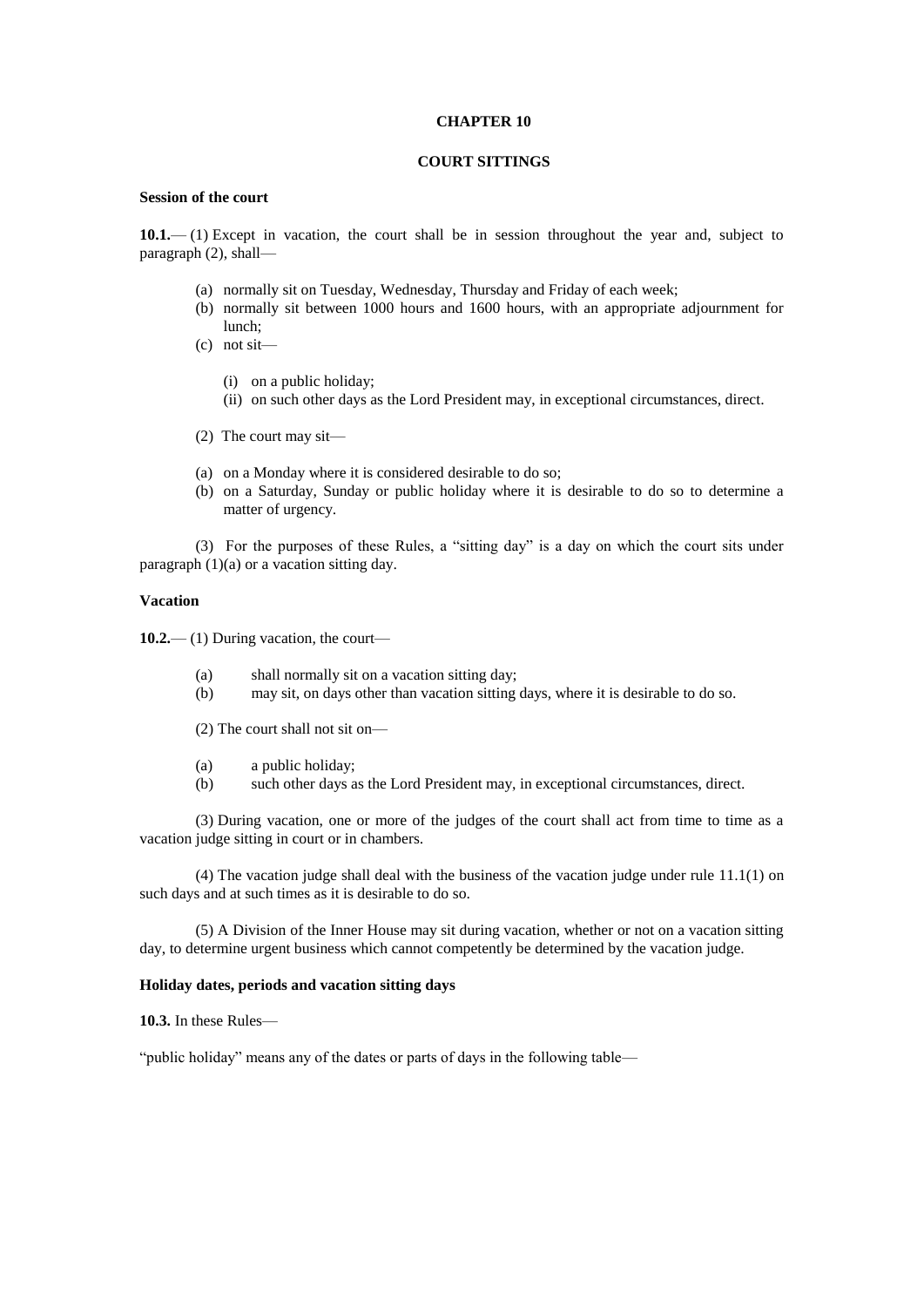### **CHAPTER 10**

## **COURT SITTINGS**

## **Session of the court**

**10.1.**— (1) Except in vacation, the court shall be in session throughout the year and, subject to paragraph (2), shall—

- (a) normally sit on Tuesday, Wednesday, Thursday and Friday of each week;
- (b) normally sit between 1000 hours and 1600 hours, with an appropriate adjournment for lunch;
- (c) not sit—
	- (i) on a public holiday;
	- (ii) on such other days as the Lord President may, in exceptional circumstances, direct.
- (2) The court may sit—
- (a) on a Monday where it is considered desirable to do so;
- (b) on a Saturday, Sunday or public holiday where it is desirable to do so to determine a matter of urgency.

(3) For the purposes of these Rules, a "sitting day" is a day on which the court sits under paragraph (1)(a) or a vacation sitting day.

### **Vacation**

**10.2.**— (1) During vacation, the court—

- (a) shall normally sit on a vacation sitting day;
- (b) may sit, on days other than vacation sitting days, where it is desirable to do so.
- (2) The court shall not sit on—
- (a) a public holiday;
- (b) such other days as the Lord President may, in exceptional circumstances, direct.

(3) During vacation, one or more of the judges of the court shall act from time to time as a vacation judge sitting in court or in chambers.

(4) The vacation judge shall deal with the business of the vacation judge under rule  $11.1(1)$  on such days and at such times as it is desirable to do so.

(5) A Division of the Inner House may sit during vacation, whether or not on a vacation sitting day, to determine urgent business which cannot competently be determined by the vacation judge.

### **Holiday dates, periods and vacation sitting days**

**10.3.** In these Rules—

"public holiday" means any of the dates or parts of days in the following table—